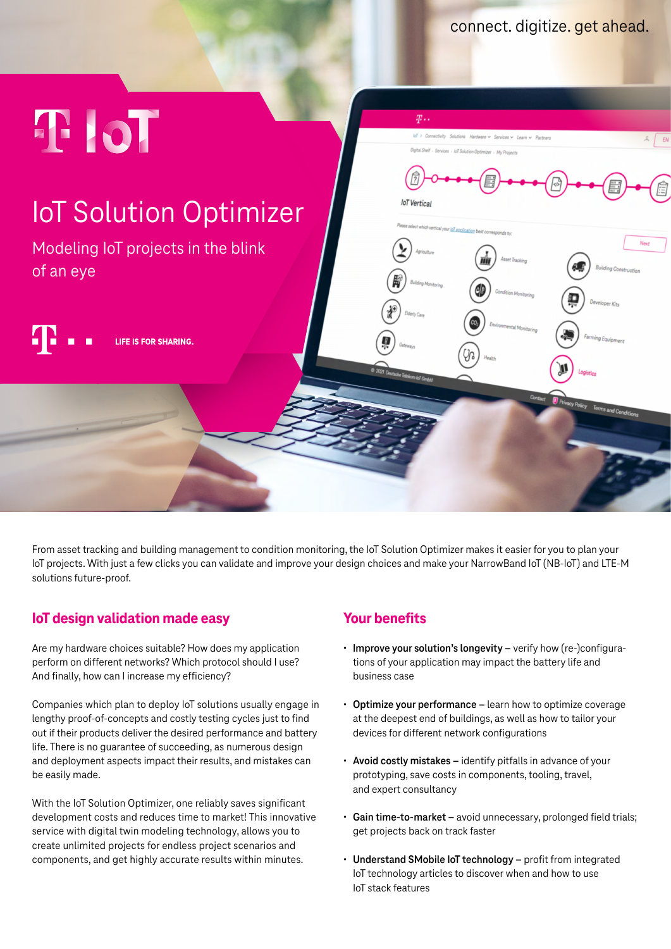connect. digitize. get ahead.



From asset tracking and building management to condition monitoring, the IoT Solution Optimizer makes it easier for you to plan your IoT projects. With just a few clicks you can validate and improve your design choices and make your NarrowBand IoT (NB-IoT) and LTE-M solutions future-proof.

## **IoT design validation made easy**

Are my hardware choices suitable? How does my application perform on different networks? Which protocol should I use? And finally, how can I increase my efficiency?

Companies which plan to deploy IoT solutions usually engage in lengthy proof-of-concepts and costly testing cycles just to find out if their products deliver the desired performance and battery life. There is no guarantee of succeeding, as numerous design and deployment aspects impact their results, and mistakes can be easily made.

With the IoT Solution Optimizer, one reliably saves significant development costs and reduces time to market! This innovative service with digital twin modeling technology, allows you to create unlimited projects for endless project scenarios and components, and get highly accurate results within minutes.

## **Your benefits**

- **• Improve your solution's longevity** verify how (re-)configurations of your application may impact the battery life and business case
- **• Optimize your performance** learn how to optimize coverage at the deepest end of buildings, as well as how to tailor your devices for different network configurations
- **• Avoid costly mistakes** identify pitfalls in advance of your prototyping, save costs in components, tooling, travel, and expert consultancy
- **• Gain time-to-market** avoid unnecessary, prolonged field trials; get projects back on track faster
- **• Understand SMobile IoT technology** profit from integrated IoT technology articles to discover when and how to use IoT stack features